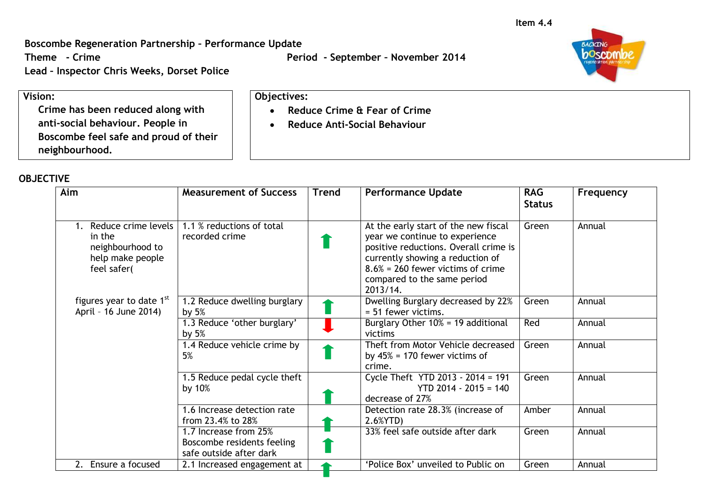**Boscombe Regeneration Partnership – Performance Update**

**Lead – Inspector Chris Weeks, Dorset Police**

**Theme - Crime Period - September – November 2014**

 **Reduce Crime & Fear of Crime Reduce Anti-Social Behaviour**

**Objectives:**



**Vision: Crime has been reduced along with anti-social behaviour. People in Boscombe feel safe and proud of their neighbourhood.**

## **OBJECTIVE**

| Aim                                                                                     | <b>Measurement of Success</b>                                                  | Trend | <b>Performance Update</b>                                                                                                                                                                                                              | <b>RAG</b><br><b>Status</b> | Frequency |
|-----------------------------------------------------------------------------------------|--------------------------------------------------------------------------------|-------|----------------------------------------------------------------------------------------------------------------------------------------------------------------------------------------------------------------------------------------|-----------------------------|-----------|
| 1. Reduce crime levels<br>in the<br>neighbourhood to<br>help make people<br>feel safer( | 1.1 % reductions of total<br>recorded crime                                    |       | At the early start of the new fiscal<br>year we continue to experience<br>positive reductions. Overall crime is<br>currently showing a reduction of<br>$8.6\%$ = 260 fewer victims of crime<br>compared to the same period<br>2013/14. | Green                       | Annual    |
| figures year to date 1 <sup>st</sup><br>April - 16 June 2014)                           | 1.2 Reduce dwelling burglary<br>by $5%$                                        |       | Dwelling Burglary decreased by 22%<br>= 51 fewer victims.                                                                                                                                                                              | Green                       | Annual    |
|                                                                                         | 1.3 Reduce 'other burglary'<br>by $5%$                                         |       | Burglary Other 10% = 19 additional<br>victims                                                                                                                                                                                          | Red                         | Annual    |
|                                                                                         | 1.4 Reduce vehicle crime by<br>5%                                              |       | Theft from Motor Vehicle decreased<br>by $45\%$ = 170 fewer victims of<br>crime.                                                                                                                                                       | Green                       | Annual    |
|                                                                                         | 1.5 Reduce pedal cycle theft<br>by 10%                                         |       | Cycle Theft YTD 2013 - 2014 = 191<br>$YTD 2014 - 2015 = 140$<br>decrease of 27%                                                                                                                                                        | Green                       | Annual    |
|                                                                                         | 1.6 Increase detection rate<br>from 23.4% to 28%                               |       | Detection rate 28.3% (increase of<br>$2.6%$ YTD)                                                                                                                                                                                       | Amber                       | Annual    |
|                                                                                         | 1.7 Increase from 25%<br>Boscombe residents feeling<br>safe outside after dark |       | 33% feel safe outside after dark                                                                                                                                                                                                       | Green                       | Annual    |
| Ensure a focused<br>2.                                                                  | 2.1 Increased engagement at                                                    |       | 'Police Box' unveiled to Public on                                                                                                                                                                                                     | Green                       | Annual    |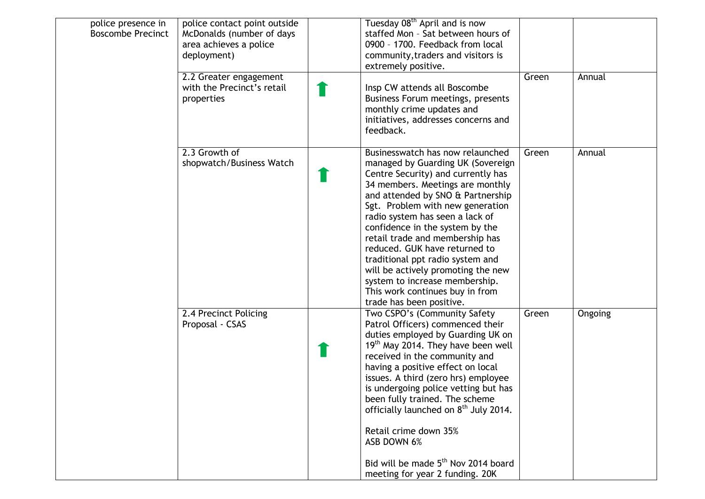| police presence in<br><b>Boscombe Precinct</b> | police contact point outside<br>McDonalds (number of days<br>area achieves a police<br>deployment)<br>2.2 Greater engagement | Tuesday 08 <sup>th</sup> April and is now<br>staffed Mon - Sat between hours of<br>0900 - 1700. Feedback from local<br>community, traders and visitors is<br>extremely positive.                                                                                                                                                                                                                                                                                                                                                              | Green | Annual  |
|------------------------------------------------|------------------------------------------------------------------------------------------------------------------------------|-----------------------------------------------------------------------------------------------------------------------------------------------------------------------------------------------------------------------------------------------------------------------------------------------------------------------------------------------------------------------------------------------------------------------------------------------------------------------------------------------------------------------------------------------|-------|---------|
|                                                | with the Precinct's retail<br>properties                                                                                     | Insp CW attends all Boscombe<br>Business Forum meetings, presents<br>monthly crime updates and<br>initiatives, addresses concerns and<br>feedback.                                                                                                                                                                                                                                                                                                                                                                                            |       |         |
|                                                | 2.3 Growth of<br>shopwatch/Business Watch                                                                                    | Businesswatch has now relaunched<br>managed by Guarding UK (Sovereign<br>Centre Security) and currently has<br>34 members. Meetings are monthly<br>and attended by SNO & Partnership<br>Sgt. Problem with new generation<br>radio system has seen a lack of<br>confidence in the system by the<br>retail trade and membership has<br>reduced. GUK have returned to<br>traditional ppt radio system and<br>will be actively promoting the new<br>system to increase membership.<br>This work continues buy in from<br>trade has been positive. | Green | Annual  |
|                                                | 2.4 Precinct Policing<br>Proposal - CSAS                                                                                     | Two CSPO's (Community Safety<br>Patrol Officers) commenced their<br>duties employed by Guarding UK on<br>19 <sup>th</sup> May 2014. They have been well<br>received in the community and<br>having a positive effect on local<br>issues. A third (zero hrs) employee<br>is undergoing police vetting but has<br>been fully trained. The scheme<br>officially launched on 8 <sup>th</sup> July 2014.<br>Retail crime down 35%<br>ASB DOWN 6%<br>Bid will be made 5 <sup>th</sup> Nov 2014 board<br>meeting for year 2 funding. 20K             | Green | Ongoing |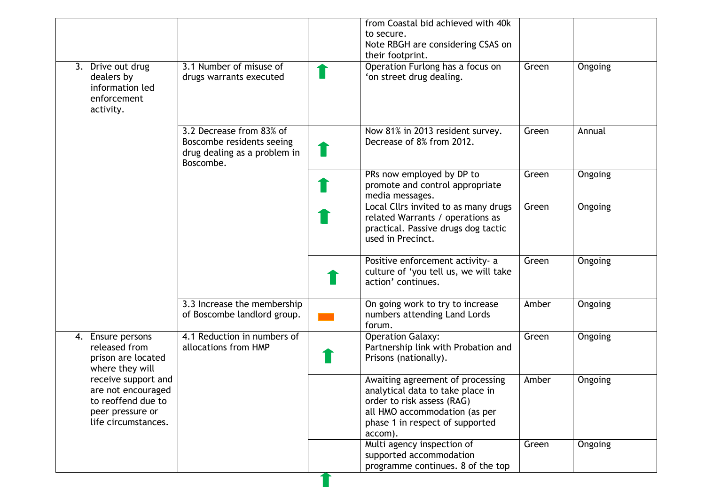|                                                                                                            |                                                                                                    | from Coastal bid achieved with 40k<br>to secure.<br>Note RBGH are considering CSAS on<br>their footprint.                                                                         |       |                |
|------------------------------------------------------------------------------------------------------------|----------------------------------------------------------------------------------------------------|-----------------------------------------------------------------------------------------------------------------------------------------------------------------------------------|-------|----------------|
| 3. Drive out drug<br>dealers by<br>information led<br>enforcement<br>activity.                             | 3.1 Number of misuse of<br>drugs warrants executed                                                 | Operation Furlong has a focus on<br>'on street drug dealing.                                                                                                                      | Green | <b>Ongoing</b> |
|                                                                                                            | 3.2 Decrease from 83% of<br>Boscombe residents seeing<br>drug dealing as a problem in<br>Boscombe. | Now 81% in 2013 resident survey.<br>Decrease of 8% from 2012.                                                                                                                     | Green | Annual         |
|                                                                                                            |                                                                                                    | PRs now employed by DP to<br>promote and control appropriate<br>media messages.                                                                                                   | Green | Ongoing        |
|                                                                                                            |                                                                                                    | Local Cllrs invited to as many drugs<br>related Warrants / operations as<br>practical. Passive drugs dog tactic<br>used in Precinct.                                              | Green | Ongoing        |
|                                                                                                            |                                                                                                    | Positive enforcement activity- a<br>culture of 'you tell us, we will take<br>action' continues.                                                                                   | Green | Ongoing        |
|                                                                                                            | 3.3 Increase the membership<br>of Boscombe landlord group.                                         | On going work to try to increase<br>numbers attending Land Lords<br>forum.                                                                                                        | Amber | Ongoing        |
| 4. Ensure persons<br>released from<br>prison are located<br>where they will                                | 4.1 Reduction in numbers of<br>allocations from HMP                                                | <b>Operation Galaxy:</b><br>Partnership link with Probation and<br>Prisons (nationally).                                                                                          | Green | Ongoing        |
| receive support and<br>are not encouraged<br>to reoffend due to<br>peer pressure or<br>life circumstances. |                                                                                                    | Awaiting agreement of processing<br>analytical data to take place in<br>order to risk assess (RAG)<br>all HMO accommodation (as per<br>phase 1 in respect of supported<br>accom). | Amber | Ongoing        |
|                                                                                                            |                                                                                                    | Multi agency inspection of<br>supported accommodation<br>programme continues. 8 of the top                                                                                        | Green | Ongoing        |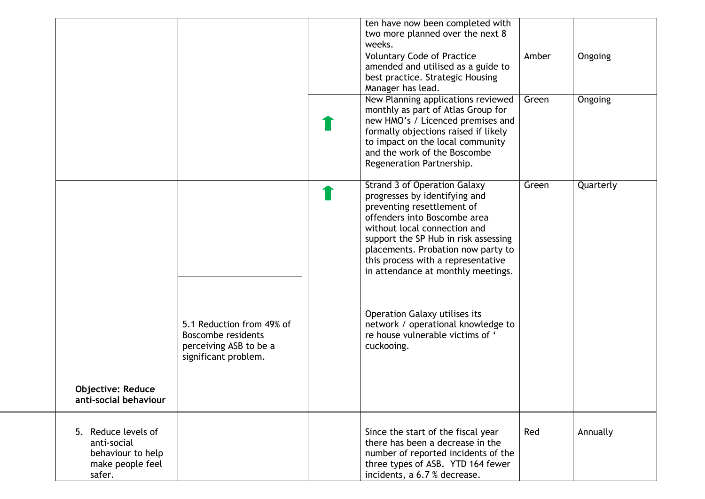|                          |                           | ten have now been completed with                            |       |           |
|--------------------------|---------------------------|-------------------------------------------------------------|-------|-----------|
|                          |                           | two more planned over the next 8<br>weeks.                  |       |           |
|                          |                           | <b>Voluntary Code of Practice</b>                           | Amber | Ongoing   |
|                          |                           | amended and utilised as a guide to                          |       |           |
|                          |                           | best practice. Strategic Housing                            |       |           |
|                          |                           | Manager has lead.                                           |       |           |
|                          |                           | New Planning applications reviewed                          | Green | Ongoing   |
|                          |                           | monthly as part of Atlas Group for                          |       |           |
|                          |                           | new HMO's / Licenced premises and                           |       |           |
|                          |                           | formally objections raised if likely                        |       |           |
|                          |                           | to impact on the local community                            |       |           |
|                          |                           | and the work of the Boscombe                                |       |           |
|                          |                           | Regeneration Partnership.                                   |       |           |
|                          |                           |                                                             |       |           |
|                          |                           | <b>Strand 3 of Operation Galaxy</b>                         | Green | Quarterly |
|                          |                           | progresses by identifying and<br>preventing resettlement of |       |           |
|                          |                           | offenders into Boscombe area                                |       |           |
|                          |                           | without local connection and                                |       |           |
|                          |                           | support the SP Hub in risk assessing                        |       |           |
|                          |                           | placements. Probation now party to                          |       |           |
|                          |                           | this process with a representative                          |       |           |
|                          |                           | in attendance at monthly meetings.                          |       |           |
|                          |                           |                                                             |       |           |
|                          |                           |                                                             |       |           |
|                          |                           |                                                             |       |           |
|                          |                           | Operation Galaxy utilises its                               |       |           |
|                          | 5.1 Reduction from 49% of | network / operational knowledge to                          |       |           |
|                          | <b>Boscombe residents</b> | re house vulnerable victims of '                            |       |           |
|                          | perceiving ASB to be a    | cuckooing.                                                  |       |           |
|                          | significant problem.      |                                                             |       |           |
|                          |                           |                                                             |       |           |
| <b>Objective: Reduce</b> |                           |                                                             |       |           |
| anti-social behaviour    |                           |                                                             |       |           |
|                          |                           |                                                             |       |           |
|                          |                           |                                                             |       |           |
| 5. Reduce levels of      |                           | Since the start of the fiscal year                          | Red   | Annually  |
| anti-social              |                           | there has been a decrease in the                            |       |           |
| behaviour to help        |                           | number of reported incidents of the                         |       |           |
| make people feel         |                           | three types of ASB. YTD 164 fewer                           |       |           |
| safer.                   |                           | incidents, a 6.7 % decrease.                                |       |           |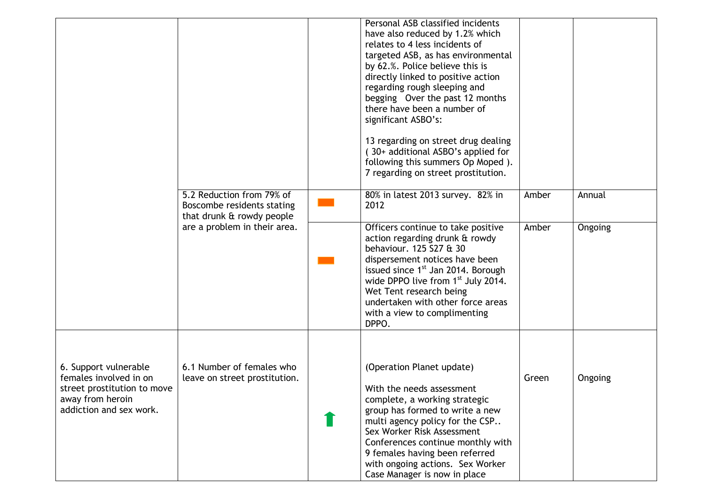|                                                                                                                               |                                                                                      | Personal ASB classified incidents<br>have also reduced by 1.2% which<br>relates to 4 less incidents of<br>targeted ASB, as has environmental<br>by 62.%. Police believe this is<br>directly linked to positive action<br>regarding rough sleeping and<br>begging Over the past 12 months<br>there have been a number of<br>significant ASBO's:<br>13 regarding on street drug dealing<br>(30+ additional ASBO's applied for<br>following this summers Op Moped).<br>7 regarding on street prostitution. |       |         |
|-------------------------------------------------------------------------------------------------------------------------------|--------------------------------------------------------------------------------------|---------------------------------------------------------------------------------------------------------------------------------------------------------------------------------------------------------------------------------------------------------------------------------------------------------------------------------------------------------------------------------------------------------------------------------------------------------------------------------------------------------|-------|---------|
|                                                                                                                               | 5.2 Reduction from 79% of<br>Boscombe residents stating<br>that drunk & rowdy people | 80% in latest 2013 survey. 82% in<br>2012                                                                                                                                                                                                                                                                                                                                                                                                                                                               | Amber | Annual  |
|                                                                                                                               | are a problem in their area.                                                         | Officers continue to take positive<br>action regarding drunk & rowdy<br>behaviour. 125 S27 & 30<br>dispersement notices have been<br>issued since 1 <sup>st</sup> Jan 2014. Borough<br>wide DPPO live from 1 <sup>st</sup> July 2014.<br>Wet Tent research being<br>undertaken with other force areas<br>with a view to complimenting<br>DPPO.                                                                                                                                                          | Amber | Ongoing |
| 6. Support vulnerable<br>females involved in on<br>street prostitution to move<br>away from heroin<br>addiction and sex work. | 6.1 Number of females who<br>leave on street prostitution.                           | (Operation Planet update)<br>With the needs assessment<br>complete, a working strategic<br>group has formed to write a new<br>multi agency policy for the CSP<br>Sex Worker Risk Assessment<br>Conferences continue monthly with<br>9 females having been referred<br>with ongoing actions. Sex Worker<br>Case Manager is now in place                                                                                                                                                                  | Green | Ongoing |